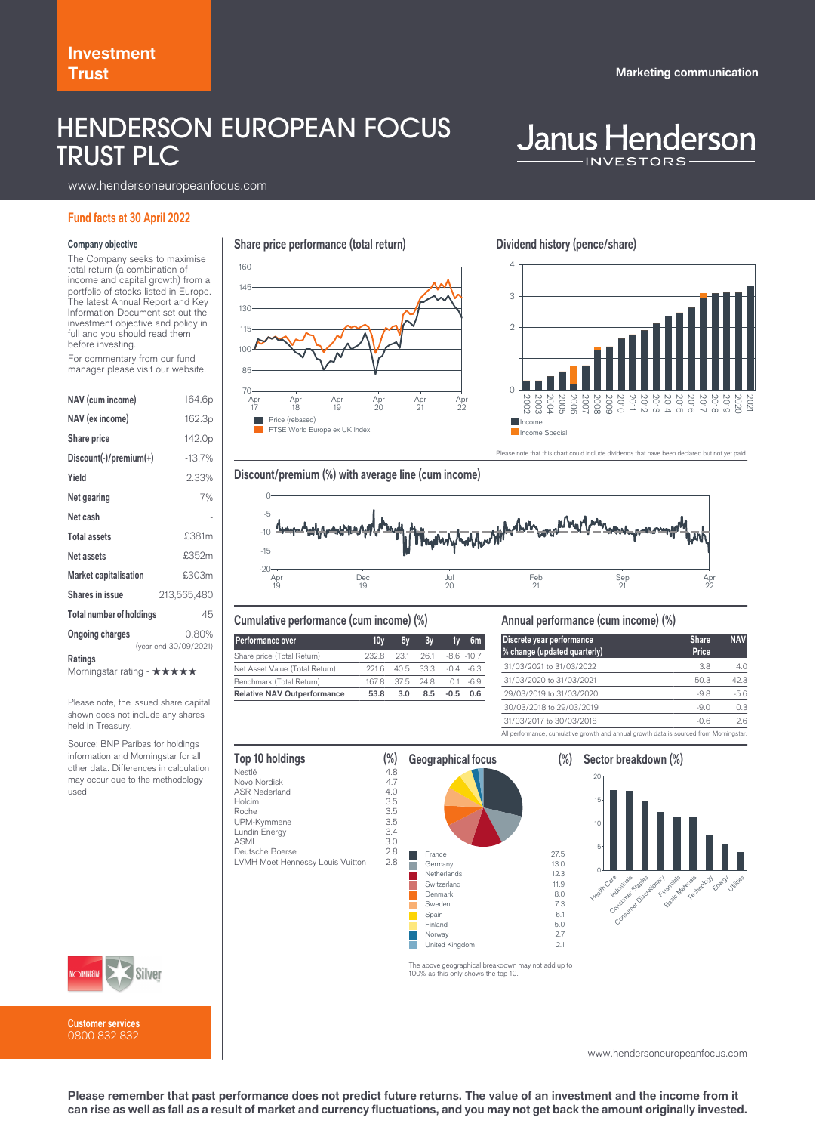## HENDERSON EUROPEAN FOCUS TRUST PLC

# **Janus Henderson**

www.hendersoneuropeanfocus.com

#### **Fund facts at 30 April 2022**

#### **Company objective**

The Company seeks to maximise total return (a combination of income and capital growth) from a portfolio of stocks listed in Europe. The latest Annual Report and Key Information Document set out the investment objective and policy in full and you should read them before investing.

For commentary from our fund manager please visit our website.

| <b>NAV</b> (cum income)                      | 164.6p                         |  |  |  |
|----------------------------------------------|--------------------------------|--|--|--|
| NAV (ex income)                              | 162.3p                         |  |  |  |
| <b>Share price</b>                           | 142.0 <sub>p</sub>             |  |  |  |
| $Discount(\cdot)/premium(\cdot)$             | $-13.7%$                       |  |  |  |
| Yield                                        | 2.33%                          |  |  |  |
| Net gearing                                  | 7%                             |  |  |  |
| Net cash                                     |                                |  |  |  |
| <b>Total assets</b>                          | £381m                          |  |  |  |
| Net assets                                   | £352m                          |  |  |  |
| <b>Market capitalisation</b>                 | £303m                          |  |  |  |
| <b>Shares in issue</b>                       | 213,565,480                    |  |  |  |
| <b>Total number of holdings</b>              | 45                             |  |  |  |
| <b>Ongoing charges</b>                       | 0.80%<br>(year end 30/09/2021) |  |  |  |
| <b>Ratings</b><br>Morningstar rating - ★★★★★ |                                |  |  |  |

Please note, the issued share capital shown does not include any shares held in Treasury.

Source: BNP Paribas for holdings information and Morningstar for all other data. Differences in calculation may occur due to the methodology used.



**Share price performance (total return)**

**Dividend history (pence/share)**



se note that this chart could include dividends that have been declared but not yet paid.





#### **Cumulative performance (cum income) (%)**

| <b>Performance over</b>            | 10v   | 5v        | 3v         | 1v               | 6m           |
|------------------------------------|-------|-----------|------------|------------------|--------------|
| Share price (Total Return)         | 232 B | 23.1      |            | $261 - 86 - 107$ |              |
| Net Asset Value (Total Return)     | 2216  | 40.5 33.3 |            |                  | $-0.4 - 6.3$ |
| Benchmark (Total Return)           | 167.8 |           | 375 248 01 |                  | $-69$        |
| <b>Relative NAV Outperformance</b> | 53.8  | 3.0       | 8.5        | $-0.5$           | 0.6          |

#### **Annual performance (cum income) (%)**

| Discrete year performance<br>% change (updated quarterly)                              | <b>Share</b><br>Price | <b>NAV</b> |
|----------------------------------------------------------------------------------------|-----------------------|------------|
| 31/03/2021 to 31/03/2022                                                               | 3.8                   | 40         |
| 31/03/2020 to 31/03/2021                                                               | 50.3                  | 423        |
| 29/03/2019 to 31/03/2020                                                               | $-98$                 | $-5.6$     |
| 30/03/2018 to 29/03/2019                                                               | $-90$                 | 0.3        |
| 31/03/2017 to 30/03/2018                                                               | $-06$                 | 26         |
| All performance, cumulative growth and annual growth data is sourced from Morningstar. |                       |            |

| Top 10 holdings                  | $(\%)$ | <b>Geographical focus</b> | $(\%)$ |
|----------------------------------|--------|---------------------------|--------|
| Nestlé                           | 4.8    |                           |        |
| Novo Nordisk                     | 4.7    |                           |        |
| <b>ASR Nederland</b>             | 4.0    |                           |        |
| Holcim                           | 3.5    |                           |        |
| Roche                            | 3.5    |                           |        |
| UPM-Kymmene                      | 3.5    |                           |        |
| Lundin Energy                    | 3.4    |                           |        |
| <b>ASML</b>                      | 3.0    |                           |        |
| Deutsche Boerse                  | 2.8    | France                    | 27.5   |
| LVMH Moet Hennessy Louis Vuitton | 2.8    | Germany                   | 13.0   |
|                                  |        | Netherlands               | 12.3   |
|                                  |        | Switzerland               | 11.9   |
|                                  |        | Denmark                   | 8.0    |
|                                  |        | Sweden                    | 7.3    |
|                                  |        | Spain                     | 6.1    |
|                                  |        | Finland                   | 5.0    |
|                                  |        | Norway                    | 2.7    |
|                                  |        | United Kingdom            | 2.1    |



The above geographical breakdown may not add up to 100% as this only shows the top 10.

www.hendersoneuropeanfocus.com



**Please remember that past performance does not predict future returns. The value of an investment and the income from it can rise as well as fall as a result of market and currency fluctuations, and you may not get back the amount originally invested.**



**Customer services** 0800 832 832